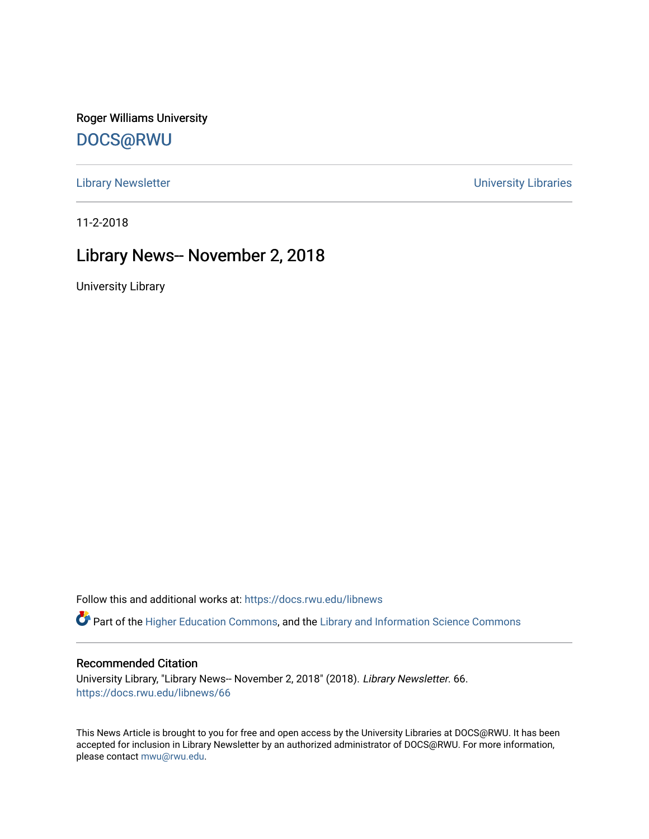Roger Williams University [DOCS@RWU](https://docs.rwu.edu/)

[Library Newsletter](https://docs.rwu.edu/libnews) **Newsletter Newsletter Newsletter Newsletter Newsletter University Libraries** 

11-2-2018

### Library News-- November 2, 2018

University Library

Follow this and additional works at: [https://docs.rwu.edu/libnews](https://docs.rwu.edu/libnews?utm_source=docs.rwu.edu%2Flibnews%2F66&utm_medium=PDF&utm_campaign=PDFCoverPages)

Part of the [Higher Education Commons,](http://network.bepress.com/hgg/discipline/1245?utm_source=docs.rwu.edu%2Flibnews%2F66&utm_medium=PDF&utm_campaign=PDFCoverPages) and the Library and Information Science Commons

#### Recommended Citation

University Library, "Library News-- November 2, 2018" (2018). Library Newsletter. 66. [https://docs.rwu.edu/libnews/66](https://docs.rwu.edu/libnews/66?utm_source=docs.rwu.edu%2Flibnews%2F66&utm_medium=PDF&utm_campaign=PDFCoverPages) 

This News Article is brought to you for free and open access by the University Libraries at DOCS@RWU. It has been accepted for inclusion in Library Newsletter by an authorized administrator of DOCS@RWU. For more information, please contact [mwu@rwu.edu.](mailto:mwu@rwu.edu)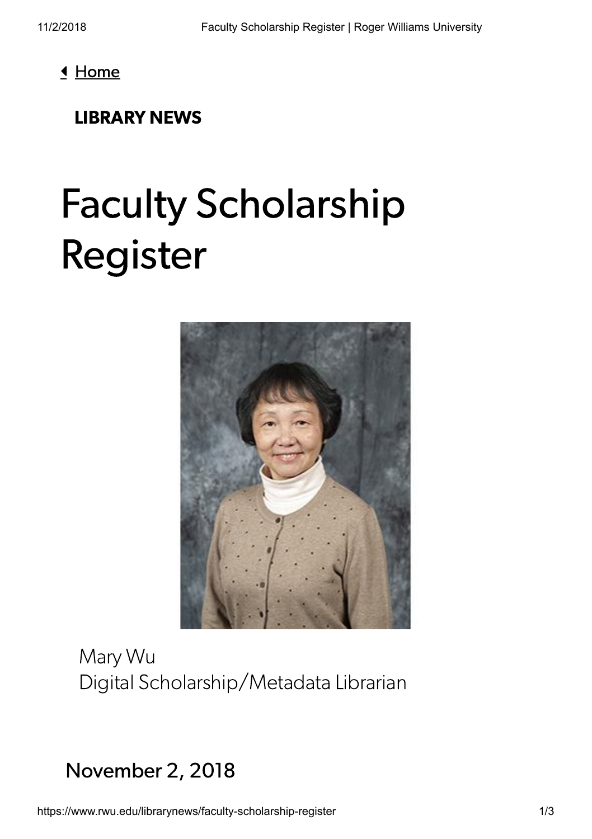<u>I</u> [Home](https://www.rwu.edu/)

#### [LIBRARY](https://www.rwu.edu/library/news) NEWS

# Faculty Scholarship Register



Mary Wu Digital Scholarship/Metadata Librarian

## November 2, 2018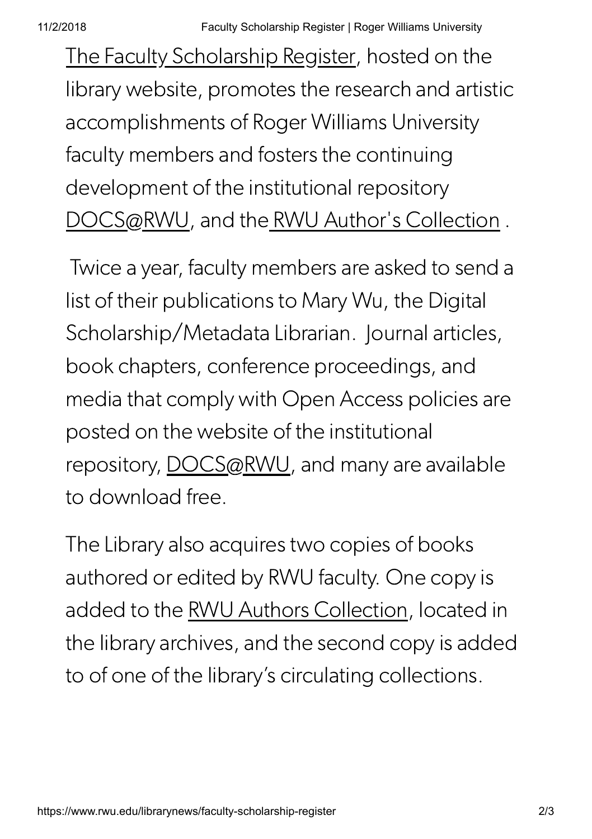[The Faculty Scholarship Register](https://www.rwu.edu/library/libraries-collections/faculty-scholarship-register), hosted on the library website, promotes the research and artistic accomplishments of Roger Williams University faculty members and fosters the continuing development of the institutional repository [DOCS@RWU,](http://docs.rwu.edu/) and th[e RWU Author's Collection](https://www.rwu.edu/library/libraries-collections/rwu-authors-collection) .

 Twice a year, faculty members are asked to send a list of their publications to Mary Wu, the Digital Scholarship/Metadata Librarian. Journal articles, book chapters, conference proceedings, and media that comply with Open Access policies are posted on the website of the institutional repository, [DOCS@RWU](http://docs.rwu.edu/), and many are available to download free.

The Library also acquires two copies of books authored or edited by RWU faculty. One copy is added to the [RWU Authors Collection,](https://www.rwu.edu/library/libraries-collections/rwu-authors-collection) located in the library archives, and the second copy is added to of one of the library's circulating collections.